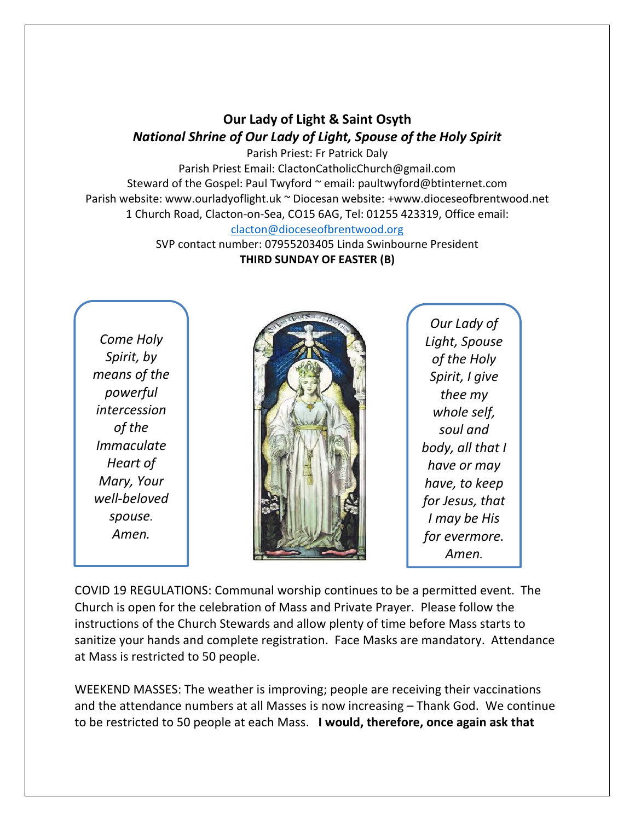## **Our Lady of Light & Saint Osyth** *National Shrine of Our Lady of Light, Spouse of the Holy Spirit*

Parish Priest: Fr Patrick Daly Parish Priest Email: ClactonCatholicChurch@gmail.com Steward of the Gospel: Paul Twyford ~ email: paultwyford@btinternet.com Parish website: www.ourladyoflight.uk ~ Diocesan website: +www.dioceseofbrentwood.net 1 Church Road, Clacton-on-Sea, CO15 6AG, Tel: 01255 423319, Office email: [clacton@dioceseofbrentwood.org](mailto:clacton@dioceseofbrentwood.org)

> SVP contact number: 07955203405 Linda Swinbourne President **THIRD SUNDAY OF EASTER (B)**

*Come Holy Spirit, by means of the powerful intercession of the Immaculate Heart of Mary, Your well-beloved spouse. Amen.*



*Our Lady of Light, Spouse of the Holy Spirit, I give thee my whole self, soul and body, all that I have or may have, to keep for Jesus, that I may be His for evermore. Amen.*

COVID 19 REGULATIONS: Communal worship continues to be a permitted event. The Church is open for the celebration of Mass and Private Prayer. Please follow the instructions of the Church Stewards and allow plenty of time before Mass starts to sanitize your hands and complete registration. Face Masks are mandatory. Attendance at Mass is restricted to 50 people.

WEEKEND MASSES: The weather is improving; people are receiving their vaccinations and the attendance numbers at all Masses is now increasing – Thank God. We continue to be restricted to 50 people at each Mass. **I would, therefore, once again ask that**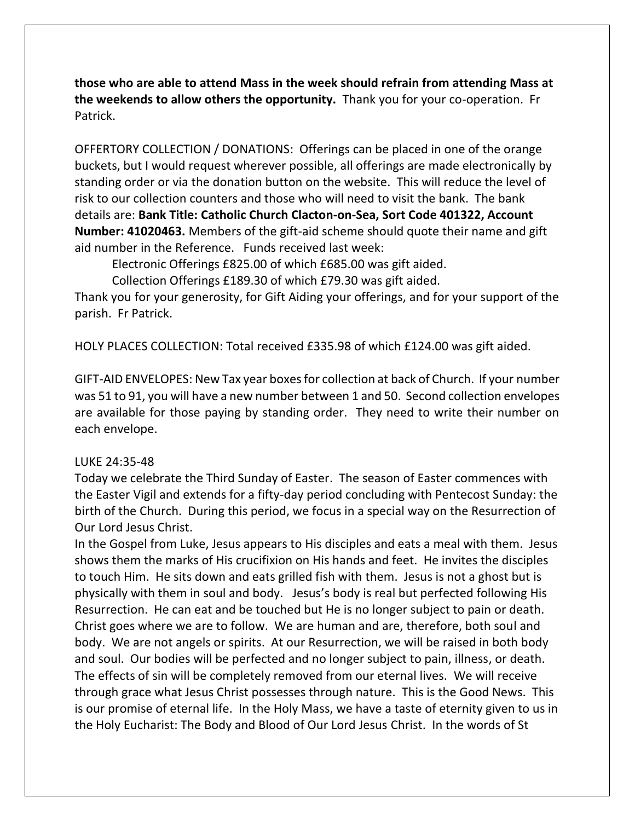**those who are able to attend Mass in the week should refrain from attending Mass at the weekends to allow others the opportunity.** Thank you for your co-operation. Fr Patrick.

OFFERTORY COLLECTION / DONATIONS: Offerings can be placed in one of the orange buckets, but I would request wherever possible, all offerings are made electronically by standing order or via the donation button on the website. This will reduce the level of risk to our collection counters and those who will need to visit the bank. The bank details are: **Bank Title: Catholic Church Clacton-on-Sea, Sort Code 401322, Account Number: 41020463.** Members of the gift-aid scheme should quote their name and gift aid number in the Reference. Funds received last week:

Electronic Offerings £825.00 of which £685.00 was gift aided.

Collection Offerings £189.30 of which £79.30 was gift aided.

Thank you for your generosity, for Gift Aiding your offerings, and for your support of the parish. Fr Patrick.

HOLY PLACES COLLECTION: Total received £335.98 of which £124.00 was gift aided.

GIFT-AID ENVELOPES: New Tax year boxes for collection at back of Church. If your number was 51 to 91, you will have a new number between 1 and 50. Second collection envelopes are available for those paying by standing order. They need to write their number on each envelope.

## LUKE 24:35-48

Today we celebrate the Third Sunday of Easter. The season of Easter commences with the Easter Vigil and extends for a fifty-day period concluding with Pentecost Sunday: the birth of the Church. During this period, we focus in a special way on the Resurrection of Our Lord Jesus Christ.

In the Gospel from Luke, Jesus appears to His disciples and eats a meal with them. Jesus shows them the marks of His crucifixion on His hands and feet. He invites the disciples to touch Him. He sits down and eats grilled fish with them. Jesus is not a ghost but is physically with them in soul and body. Jesus's body is real but perfected following His Resurrection. He can eat and be touched but He is no longer subject to pain or death. Christ goes where we are to follow. We are human and are, therefore, both soul and body. We are not angels or spirits. At our Resurrection, we will be raised in both body and soul. Our bodies will be perfected and no longer subject to pain, illness, or death. The effects of sin will be completely removed from our eternal lives. We will receive through grace what Jesus Christ possesses through nature. This is the Good News. This is our promise of eternal life. In the Holy Mass, we have a taste of eternity given to us in the Holy Eucharist: The Body and Blood of Our Lord Jesus Christ. In the words of St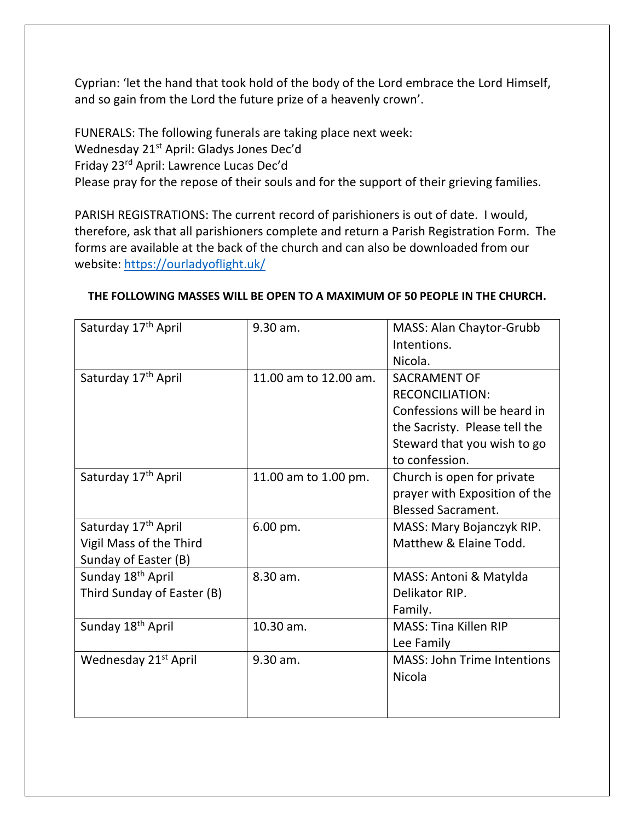Cyprian: 'let the hand that took hold of the body of the Lord embrace the Lord Himself, and so gain from the Lord the future prize of a heavenly crown'.

FUNERALS: The following funerals are taking place next week: Wednesday 21<sup>st</sup> April: Gladys Jones Dec'd Friday 23rd April: Lawrence Lucas Dec'd Please pray for the repose of their souls and for the support of their grieving families.

PARISH REGISTRATIONS: The current record of parishioners is out of date. I would, therefore, ask that all parishioners complete and return a Parish Registration Form. The forms are available at the back of the church and can also be downloaded from our website:<https://ourladyoflight.uk/>

| Saturday 17 <sup>th</sup> April  | 9.30 am.              | MASS: Alan Chaytor-Grubb<br>Intentions. |
|----------------------------------|-----------------------|-----------------------------------------|
|                                  |                       | Nicola.                                 |
| Saturday 17 <sup>th</sup> April  | 11.00 am to 12.00 am. | <b>SACRAMENT OF</b>                     |
|                                  |                       | <b>RECONCILIATION:</b>                  |
|                                  |                       | Confessions will be heard in            |
|                                  |                       | the Sacristy. Please tell the           |
|                                  |                       | Steward that you wish to go             |
|                                  |                       | to confession.                          |
| Saturday 17 <sup>th</sup> April  | 11.00 am to 1.00 pm.  | Church is open for private              |
|                                  |                       | prayer with Exposition of the           |
|                                  |                       | <b>Blessed Sacrament.</b>               |
| Saturday 17 <sup>th</sup> April  | 6.00 pm.              | MASS: Mary Bojanczyk RIP.               |
| Vigil Mass of the Third          |                       | Matthew & Elaine Todd.                  |
| Sunday of Easter (B)             |                       |                                         |
| Sunday 18 <sup>th</sup> April    | 8.30 am.              | MASS: Antoni & Matylda                  |
| Third Sunday of Easter (B)       |                       | Delikator RIP.                          |
|                                  |                       | Family.                                 |
| Sunday 18 <sup>th</sup> April    | 10.30 am.             | <b>MASS: Tina Killen RIP</b>            |
|                                  |                       | Lee Family                              |
| Wednesday 21 <sup>st</sup> April | 9.30 am.              | <b>MASS: John Trime Intentions</b>      |
|                                  |                       | Nicola                                  |
|                                  |                       |                                         |
|                                  |                       |                                         |

## **THE FOLLOWING MASSES WILL BE OPEN TO A MAXIMUM OF 50 PEOPLE IN THE CHURCH.**